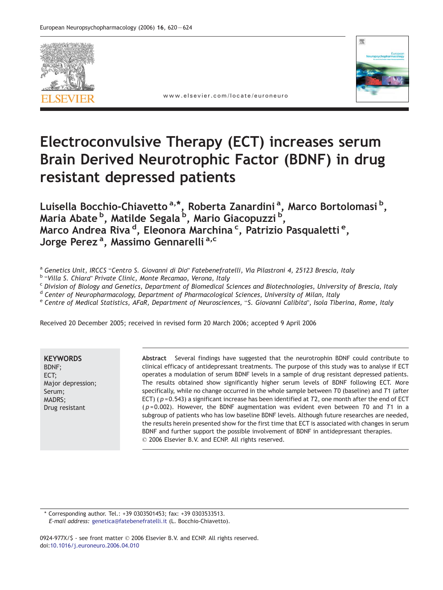



www.elsevier.com/locate/euroneuro

# Electroconvulsive Therapy (ECT) increases serum Brain Derived Neurotrophic Factor (BDNF) in drug resistant depressed patients

Luisella Bocchio-Chiavetto <sup>a,\*</sup>, Roberta Zanardini <sup>a</sup>, Marco Bortolomasi <sup>b</sup>, Maria Abate <sup>b</sup>, Matilde Segala <sup>b</sup>, Mario Giacopuzzi <sup>b</sup>, Marco Andrea Riva <sup>d</sup>, Eleonora Marchina <sup>c</sup>, Patrizio Pasqualetti <sup>e</sup>, Jorge Perez<sup>a</sup>, Massimo Gennarelli<sup>a,c</sup>

- 
- 

<sup>a</sup> Genetics Unit, IRCCS "Centro S. Giovanni di Dio" Fatebenefratelli, Via Pilastroni 4, 25123 Brescia, Italy<br><sup>b</sup> "Villa S. Chiara" Private Clinic, Monte Recamao, Verona, Italy<br><sup>c</sup> Division of Biology and Genetics, Departm

<sup>d</sup> Center of Neuropharmacology, Department of Pharmacological Sciences, University of Milan, Italy

e Centre of Medical Statistics, AFaR, Department of Neurosciences, "S. Giovanni Calibita", Isola Tiberina, Rome, Italy

Received 20 December 2005; received in revised form 20 March 2006; accepted 9 April 2006

**KEYWORDS** BDNF; ECT; Major depression; Serum; MADRS; Drug resistant

Abstract Several findings have suggested that the neurotrophin BDNF could contribute to clinical efficacy of antidepressant treatments. The purpose of this study was to analyse if ECT operates a modulation of serum BDNF levels in a sample of drug resistant depressed patients. The results obtained show significantly higher serum levels of BDNF following ECT. More specifically, while no change occurred in the whole sample between T0 (baseline) and T1 (after ECT) ( $p = 0.543$ ) a significant increase has been identified at T2, one month after the end of ECT  $(p=0.002)$ . However, the BDNF augmentation was evident even between T0 and T1 in a subgroup of patients who has low baseline BDNF levels. Although future researches are needed, the results herein presented show for the first time that ECT is associated with changes in serum BDNF and further support the possible involvement of BDNF in antidepressant therapies.  $\oslash$  2006 Elsevier B.V. and ECNP. All rights reserved.

\* Corresponding author. Tel.: +39 0303501453; fax: +39 0303533513. E-mail address: [genetica@fatebenefratelli.it](mailto:genetica@fatebenefratelli.it) (L. Bocchio-Chiavetto).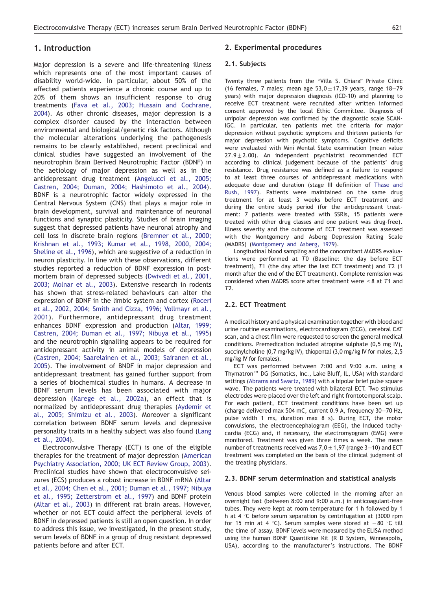# 1. Introduction

Major depression is a severe and life-threatening illness which represents one of the most important causes of disability world-wide. In particular, about 50% of the affected patients experience a chronic course and up to 20% of them shows an insufficient response to drug treatments [\(Fava et al., 2003; Hussain and Cochrane,](#page-4-0) 2004). As other chronic diseases, major depression is a complex disorder caused by the interaction between environmental and biological/genetic risk factors. Although the molecular alterations underlying the pathogenesis remains to be clearly established, recent preclinical and clinical studies have suggested an involvement of the neurotrophin Brain Derived Neurotrophic Factor (BDNF) in the aetiology of major depression as well as in the antidepressant drug treatment [\(Angelucci et al., 2005;](#page-4-0) Castren, 2004; Duman, 2004; Hashimoto et al., 2004). BDNF is a neurotrophic factor widely expressed in the Central Nervous System (CNS) that plays a major role in brain development, survival and maintenance of neuronal functions and synaptic plasticity. Studies of brain imaging suggest that depressed patients have neuronal atrophy and cell loss in discrete brain regions [\(Bremner et al., 2000;](#page-4-0) Krishnan et al., 1993; Kumar et al., 1998, 2000, 2004; Sheline et al., 1996), which are suggestive of a reduction in neuron plasticity. In line with these observations, different studies reported a reduction of BDNF expression in postmortem brain of depressed subjects [\(Dwivedi et al., 2001,](#page-4-0) 2003; Molnar et al., 2003). Extensive research in rodents has shown that stress-related behaviours can alter the expression of BDNF in the limbic system and cortex [\(Roceri](#page-4-0) et al., 2002, 2004; Smith and Cizza, 1996; Vollmayr et al., 2001). Furthermore, antidepressant drug treatment enhances BDNF expression and production [\(Altar, 1999;](#page-4-0) Castren, 2004; Duman et al., 1997; Nibuya et al., 1995) and the neurotrophin signalling appears to be required for antidepressant activity in animal models of depression [\(Castren, 2004; Saarelainen et al., 2003; Sairanen et al.,](#page-4-0) 2005). The involvement of BNDF in major depression and antidepressant treatment has gained further support from a series of biochemical studies in humans. A decrease in BDNF serum levels has been associated with major depression [\(Karege et al., 2002a](#page-4-0)), an effect that is normalized by antidepressant drug therapies [\(Aydemir et](#page-4-0) al., 2005; Shimizu et al., 2003). Moreover a significant correlation between BDNF serum levels and depressive personality traits in a healthy subject was also found [\(Lang](#page-4-0) et al., 2004).

Electroconvulsive Therapy (ECT) is one of the eligible therapies for the treatment of major depression [\(American](#page-4-0) Psychiatry Association, 2000; UK ECT Review Group, 2003). Preclinical studies have shown that electroconvulsive seizures (ECS) produces a robust increase in BDNF mRNA [\(Altar](#page-4-0) et al., 2004; Chen et al., 2001; Duman et al., 1997; Nibuya et al., 1995; Zetterstrom et al., 1997) and BDNF protein [\(Altar et al., 2003](#page-4-0)) in different rat brain areas. However, whether or not ECT could affect the peripheral levels of BDNF in depressed patients is still an open question. In order to address this issue, we investigated, in the present study, serum levels of BDNF in a group of drug resistant depressed patients before and after ECT.

## 2. Experimental procedures

#### 2.1. Subjects

Twenty three patients from the "Villa S. Chiara" Private Clinic (16 females, 7 males; mean age  $53.0 \pm 17.39$  years, range 18-79 years) with major depression diagnosis (ICD-10) and planning to receive ECT treatment were recruited after written informed consent approved by the local Ethic Committee. Diagnosis of unipolar depression was confirmed by the diagnostic scale SCAN-IGC. In particular, ten patients met the criteria for major depression without psychotic symptoms and thirteen patients for major depression with psychotic symptoms. Cognitive deficits were evaluated with Mini Mental State examination (mean value  $27.9 \pm 2.00$ ). An independent psychiatrist recommended ECT according to clinical judgement because of the patients' drug resistance. Drug resistance was defined as a failure to respond to at least three courses of antidepressant medications with adequate dose and duration (stage III definition of [Thase and](#page-4-0) Rush, 1997). Patients were maintained on the same drug treatment for at least 3 weeks before ECT treatment and during the entire study period (for the antidepressant treatment: 7 patients were treated with SSRIs, 15 patients were treated with other drug classes and one patient was drug-free). Illness severity and the outcome of ECT treatment was assessed with the Montgomery and Asberg Depression Rating Scale (MADRS) [\(Montgomery and Asberg, 1979](#page-4-0)).

Longitudinal blood sampling and the concomitant MADRS evaluations were performed at T0 (Baseline: the day before ECT treatment), T1 (the day after the last ECT treatment) and T2 (1 month after the end of the ECT treatment). Complete remission was considered when MADRS score after treatment were  $\leq$ 8 at T1 and T2.

## 2.2. ECT Treatment

A medical history and a physical examination together with blood and urine routine examinations, electrocardiogram (ECG), cerebral CAT scan, and a chest film were requested to screen the general medical conditions. Premedication included atropine sulphate (0,5 mg IV), succinylcholine (0,7 mg/kg IV), thiopental (3,0 mg/kg IV for males, 2,5 mg/kg IV for females).

ECT was performed between 7:00 and 9:00 a.m. using a Thymatron<sup>M</sup> DG (Somatics, Inc., Lake Bluff, IL, USA) with standard settings [\(Abrams and Swartz, 1989](#page-4-0)) with a bipolar brief pulse square wave. The patients were treated with bilateral ECT. Two stimulus electrodes were placed over the left and right frontotemporal scalp. For each patient, ECT treatment conditions have been set up (charge delivered max 504 mC, current 0.9 A, frequency 30—70 Hz, pulse width 1 ms, duration max 8 s). During ECT, the motor convulsions, the electroencephalogram (EEG), the induced tachycardia (ECG) and, if necessary, the electromyogram (EMG) were monitored. Treatment was given three times a week. The mean number of treatments received was  $7,0 \pm 1,97$  (range 3–10) and ECT treatment was completed on the basis of the clinical judgment of the treating physicians.

#### 2.3. BDNF serum determination and statistical analysis

Venous blood samples were collected in the morning after an overnight fast (between 8:00 and 9:00 a.m.) in anticoagulant-free tubes. They were kept at room temperature for 1 h followed by 1 h at 4  $\degree$ C before serum separation by centrifugation at (3000 rpm for 15 min at 4 °C). Serum samples were stored at  $-80$  °C till the time of assay. BDNF levels were measured by the ELISA method using the human BDNF Quantikine Kit (R D System, Minneapolis, USA), according to the manufacturer's instructions. The BDNF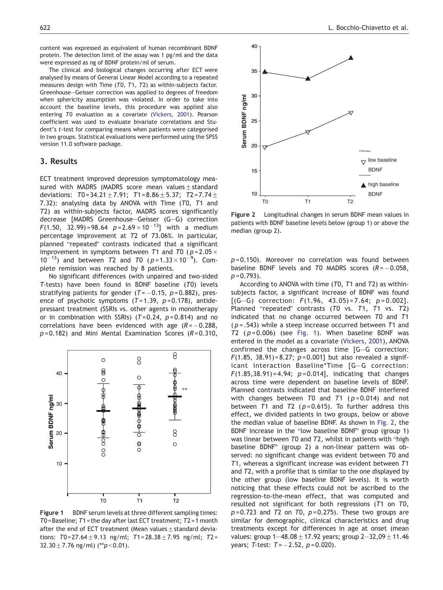content was expressed as equivalent of human recombinant BDNF protein. The detection limit of the assay was 1 pg/ml and the data were expressed as ng of BDNF protein/ml of serum.

The clinical and biological changes occurring after ECT were analysed by means of General Linear Model according to a repeated measures design with Time (T0, T1, T2) as within-subjects factor. Greenhouse—Geisser correction was applied to degrees of freedom when sphericity assumption was violated. In order to take into account the baseline levels, this procedure was applied also entering T0 evaluation as a covariate [\(Vickers, 2001](#page-4-0)). Pearson coefficient was used to evaluate bivariate correlations and Student's t-test for comparing means when patients were categorised in two groups. Statistical evaluations were performed using the SPSS version 11.0 software package.

## 3. Results

ECT treatment improved depression symptomatology measured with MADRS (MADRS score mean values  $+$  standard deviations:  $T0 = 34.21 \pm 7.91$ ;  $T1 = 8.86 \pm 5.37$ ;  $T2 = 7.74 \pm 7.74$ 7.32): analysing data by ANOVA with Time (T0, T1 and T2) as within-subjects factor, MADRS scores significantly decrease [MADRS Greenhouse—Geisser (G—G) correction  $F(1.50, 32.99) = 98.64 p = 2.69 \times 10^{-13} j$  with a medium percentage improvement at T2 of 73.06%. In particular, planned "repeated" contrasts indicated that a significant improvement in symptoms between T1 and T0 ( $p = 2.05 \times$  $10^{-13}$ ) and between T2 and T0 (p=1.33×10<sup>-9</sup>). Complete remission was reached by 8 patients.

No significant differences (with unpaired and two-sided T-tests) have been found in BDNF baseline (T0) levels stratifying patients for gender (T= $-0.15, p$ =0.882), presence of psychotic symptoms  $(T=1.39, p=0.178)$ , antidepressant treatment (SSRIs vs. other agents in monotherapy or in combination with SSRIs) ( $T=0.24$ ,  $p=0.814$ ) and no correlations have been evidenced with age  $(R = -0.288,$  $p = 0.182$ ) and Mini Mental Examination Scores ( $R = 0.310$ ,



Figure 1 BDNF serum levels at three different sampling times: T0 = Baseline; T1 = the day after last ECT treatment; T2 = 1 month after the end of ECT treatment (Mean values  $\pm$  standard deviations: T0=27.64  $\pm$  9.13 ng/ml; T1=28.38  $\pm$  7.95 ng/ml; T2 =  $32.30 \pm 7.76$  ng/ml) (\*\*p < 0.01).



Figure 2 Longitudinal changes in serum BDNF mean values in patients with BDNF baseline levels below (group 1) or above the median (group 2).

 $p = 0.150$ ). Moreover no correlation was found between baseline BDNF levels and T0 MADRS scores  $(R = -0.058,$  $p = 0.793$ ).

According to ANOVA with time (T0, T1 and T2) as withinsubjects factor, a significant increase of BDNF was found  $[(G-G)$  correction:  $F(1.96, 43.05) = 7.64; p = 0.002]$ . Planned "repeated" contrasts  $(T0 \text{ vs. } T1, T1 \text{ vs. } T2)$ indicated that no change occurred between T0 and T1  $(p = .543)$  while a steep increase occurred between T1 and T2 ( $p = 0.006$ ) (see Fig. 1). When baseline BDNF was entered in the model as a covariate [\(Vickers, 2001](#page-4-0)), ANOVA confirmed the changes across time [G—G correction: F(1.85, 38.91)=8.27;  $p = 0.001$ ] but also revealed a significant interaction Baseline\*Time [G—G correction:  $F(1.85,38.91) = 4.94; p = 0.014;$  indicating that changes across time were dependent on baseline levels of BDNF. Planned contrasts indicated that baseline BDNF interfered with changes between  $T0$  and  $T1$  ( $p=0.014$ ) and not between T1 and T2 ( $p = 0.615$ ). To further address this effect, we divided patients in two groups, below or above the median value of baseline BDNF. As shown in Fig. 2, the BDNF increase in the "low baseline BDNF" group (group 1) was linear between T0 and T2, whilst in patients with "high baseline BDNF" (group 2) a non-linear pattern was observed: no significant change was evident between T0 and T1, whereas a significant increase was evident between T1 and T2, with a profile that is similar to the one displayed by the other group (low baseline BDNF levels). It is worth noticing that these effects could not be ascribed to the regression-to-the-mean effect, that was computed and resulted not significant for both regressions (T1 on T0,  $p = 0.723$  and  $T2$  on  $T0$ ,  $p = 0.275$ ). These two groups are similar for demographic, clinical characteristics and drug treatments except for differences in age at onset (mean values: group  $1-48.08 \pm 17.92$  years; group  $2-32.09 \pm 11.46$ years; T-test:  $T = -2.52, p = 0.020$ ).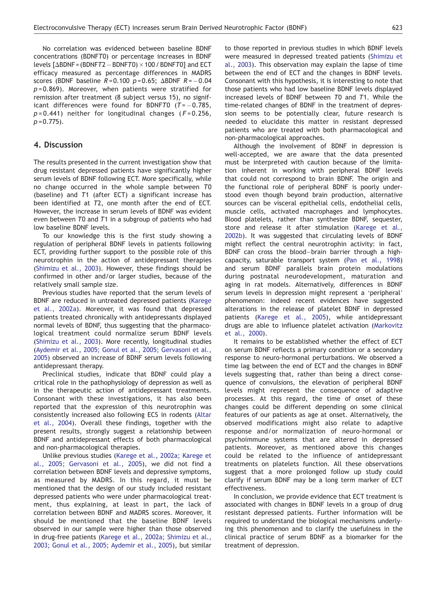No correlation was evidenced between baseline BDNF concentrations (BDNFT0) or percentage increases in BDNF levels [ $\Delta$ BDNF = (BDNFT2  $-$  BDNFT0)  $\times$  100 / BDNFT0] and ECT efficacy measured as percentage differences in MADRS scores (BDNF baseline  $R$ =0.100  $p$ =0.65;  $\Delta$ BDNF  $R$ = $-$ 0.04  $p = 0.869$ ). Moreover, when patients were stratified for remission after treatment (8 subject versus 15), no significant differences were found for BDNFT0  $(T = -0.785,$  $p = 0.441$ ) neither for longitudinal changes ( $F = 0.256$ ,  $p = 0.775$ ).

# 4. Discussion

The results presented in the current investigation show that drug resistant depressed patients have significantly higher serum levels of BDNF following ECT. More specifically, while no change occurred in the whole sample between T0 (baseline) and T1 (after ECT) a significant increase has been identified at T2, one month after the end of ECT. However, the increase in serum levels of BDNF was evident even between T0 and T1 in a subgroup of patients who had low baseline BDNF levels.

To our knowledge this is the first study showing a regulation of peripheral BDNF levels in patients following ECT, providing further support to the possible role of this neurotrophin in the action of antidepressant therapies [\(Shimizu et al., 2003](#page-4-0)). However, these findings should be confirmed in other and/or larger studies, because of the relatively small sample size.

Previous studies have reported that the serum levels of BDNF are reduced in untreated depressed patients [\(Karege](#page-4-0) et al., 2002a). Moreover, it was found that depressed patients treated chronically with antidepressants displayed normal levels of BDNF, thus suggesting that the pharmacological treatment could normalize serum BDNF levels [\(Shimizu et al., 2003](#page-4-0)). More recently, longitudinal studies [\(Aydemir et al., 2005; Gonul et al., 2005; Gervasoni et al.,](#page-4-0) 2005) observed an increase of BDNF serum levels following antidepressant therapy.

Preclinical studies, indicate that BDNF could play a critical role in the pathophysiology of depression as well as in the therapeutic action of antidepressant treatments. Consonant with these investigations, it has also been reported that the expression of this neurotrophin was consistently increased also following ECS in rodents [\(Altar](#page-4-0) et al., 2004). Overall these findings, together with the present results, strongly suggest a relationship between BDNF and antidepressant effects of both pharmacological and non-pharmacological therapies.

Unlike previous studies [\(Karege et al., 2002a; Karege et](#page-4-0) al., 2005; [Gervasoni et al., 2005](#page-4-0)), we did not find a correlation between BDNF levels and depressive symptoms, as measured by MADRS. In this regard, it must be mentioned that the design of our study included resistant depressed patients who were under pharmacological treatment, thus explaining, at least in part, the lack of correlation between BDNF and MADRS scores. Moreover, it should be mentioned that the baseline BDNF levels observed in our sample were higher than those observed in drug-free patients [\(Karege et al., 2002a; Shimizu et al.,](#page-4-0) 2003; Gonul et al., 2005; [Aydemir et al., 2005](#page-4-0)), but similar to those reported in previous studies in which BDNF levels were measured in depressed treated patients [\(Shimizu et](#page-4-0) al., 2003). This observation may explain the lapse of time between the end of ECT and the changes in BDNF levels. Consonant with this hypothesis, it is interesting to note that those patients who had low baseline BDNF levels displayed increased levels of BDNF between T0 and T1. While the time-related changes of BDNF in the treatment of depression seems to be potentially clear, future research is needed to elucidate this matter in resistant depressed patients who are treated with both pharmacological and non-pharmacological approaches.

Although the involvement of BDNF in depression is well-accepted, we are aware that the data presented must be interpreted with caution because of the limitation inherent in working with peripheral BDNF levels that could not correspond to brain BDNF. The origin and the functional role of peripheral BDNF is poorly understood even though beyond brain production, alternative sources can be visceral epithelial cells, endothelial cells, muscle cells, activated macrophages and lymphocytes. Blood platelets, rather than synthesize BDNF, sequester, store and release it after stimulation [\(Karege et al.,](#page-4-0) 2002b). It was suggested that circulating levels of BDNF might reflect the central neurotrophin activity: in fact, BDNF can cross the blood—brain barrier through a highcapacity, saturable transport system ([Pan et al., 1998](#page-4-0)) and serum BDNF parallels brain protein modulations during postnatal neurodevelopment, maturation and aging in rat models. Alternatively, differences in BDNF serum levels in depression might represent a 'peripheral' phenomenon: indeed recent evidences have suggested alterations in the release of platelet BDNF in depressed patients [\(Karege et al., 2005](#page-4-0)), while antidepressant drugs are able to influence platelet activation ([Markovitz](#page-4-0) et al., 2000).

It remains to be established whether the effect of ECT on serum BDNF reflects a primary condition or a secondary response to neuro-hormonal perturbations. We observed a time lag between the end of ECT and the changes in BDNF levels suggesting that, rather than being a direct consequence of convulsions, the elevation of peripheral BDNF levels might represent the consequence of adaptive processes. At this regard, the time of onset of these changes could be different depending on some clinical features of our patients as age at onset. Alternatively, the observed modifications might also relate to adaptive response and/or normalization of neuro-hormonal or psychoimmune systems that are altered in depressed patients. Moreover, as mentioned above this changes could be related to the influence of antidepressant treatments on platelets function. All these observations suggest that a more prolonged follow up study could clarify if serum BDNF may be a long term marker of ECT effectiveness.

In conclusion, we provide evidence that ECT treatment is associated with changes in BDNF levels in a group of drug resistant depressed patients. Further information will be required to understand the biological mechanisms underlying this phenomenon and to clarify the usefulness in the clinical practice of serum BDNF as a biomarker for the treatment of depression.